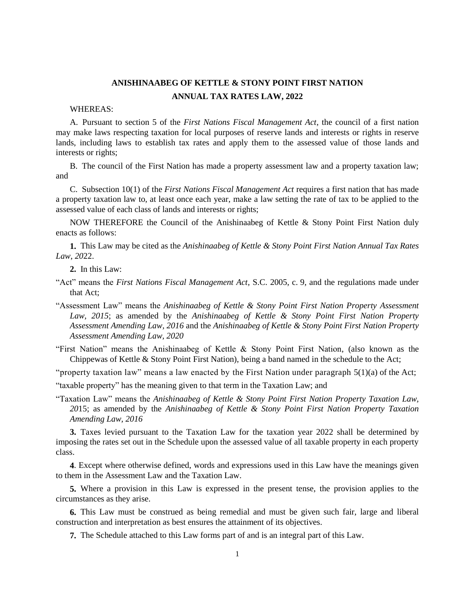## **ANISHINAABEG OF KETTLE & STONY POINT FIRST NATION ANNUAL TAX RATES LAW, 2022**

## WHEREAS:

A. Pursuant to section 5 of the *First Nations Fiscal Management Act*, the council of a first nation may make laws respecting taxation for local purposes of reserve lands and interests or rights in reserve lands, including laws to establish tax rates and apply them to the assessed value of those lands and interests or rights;

B. The council of the First Nation has made a property assessment law and a property taxation law; and

C. Subsection 10(1) of the *First Nations Fiscal Management Act* requires a first nation that has made a property taxation law to, at least once each year, make a law setting the rate of tax to be applied to the assessed value of each class of lands and interests or rights;

NOW THEREFORE the Council of the Anishinaabeg of Kettle & Stony Point First Nation duly enacts as follows:

**1.** This Law may be cited as the *Anishinaabeg of Kettle & Stony Point First Nation Annual Tax Rates Law*, *20*22.

**2.** In this Law:

- "Act" means the *First Nations Fiscal Management Act*, S.C. 2005, c. 9, and the regulations made under that Act;
- "Assessment Law" means the *Anishinaabeg of Kettle & Stony Point First Nation Property Assessment Law, 2015*; as amended by the *Anishinaabeg of Kettle & Stony Point First Nation Property Assessment Amending Law, 2016* and the *Anishinaabeg of Kettle & Stony Point First Nation Property Assessment Amending Law, 2020*

"First Nation" means the Anishinaabeg of Kettle & Stony Point First Nation, (also known as the Chippewas of Kettle & Stony Point First Nation), being a band named in the schedule to the Act;

"property taxation law" means a law enacted by the First Nation under paragraph  $5(1)(a)$  of the Act;

"taxable property" has the meaning given to that term in the Taxation Law; and

"Taxation Law" means the *Anishinaabeg of Kettle & Stony Point First Nation Property Taxation Law, 20*15; as amended by the *Anishinaabeg of Kettle & Stony Point First Nation Property Taxation Amending Law, 2016*

**3.** Taxes levied pursuant to the Taxation Law for the taxation year 2022 shall be determined by imposing the rates set out in the Schedule upon the assessed value of all taxable property in each property class.

**4**. Except where otherwise defined, words and expressions used in this Law have the meanings given to them in the Assessment Law and the Taxation Law.

**5.** Where a provision in this Law is expressed in the present tense, the provision applies to the circumstances as they arise.

**6.** This Law must be construed as being remedial and must be given such fair, large and liberal construction and interpretation as best ensures the attainment of its objectives.

**7.** The Schedule attached to this Law forms part of and is an integral part of this Law.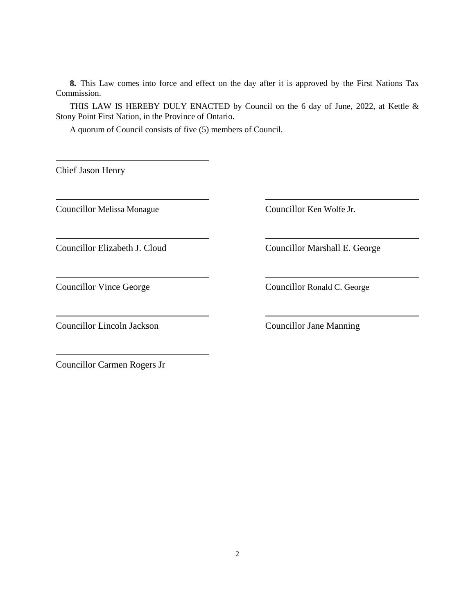**8.** This Law comes into force and effect on the day after it is approved by the First Nations Tax Commission.

THIS LAW IS HEREBY DULY ENACTED by Council on the 6 day of June, 2022, at Kettle & Stony Point First Nation, in the Province of Ontario.

A quorum of Council consists of five (5) members of Council.

Chief Jason Henry

Councillor Melissa Monague Councillor Ken Wolfe Jr.

Councillor Lincoln Jackson Councillor Jane Manning

Councillor Elizabeth J. Cloud Councillor Marshall E. George

Councillor Vince George Councillor Ronald C. George

Councillor Carmen Rogers Jr